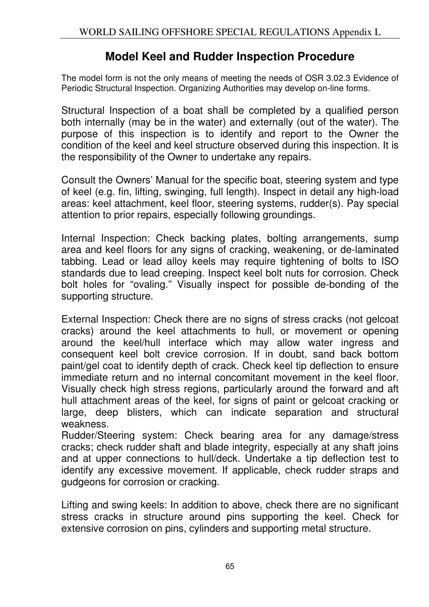## **Model Keel and Rudder Inspection Procedure**

The model form is not the only means of meeting the needs of OSR 3.02.3 Evidence of Periodic Structural Inspection. Organizing Authorities may develop on-line forms.

Structural Inspection of a boat shall be completed by a qualified person both internally (may be in the water) and externally (out of the water). The purpose of this inspection is to identify and report to the Owner the condition of the keel and keel structure observed during this inspection. It is the responsibility of the Owner to undertake any repairs.

Consult the Owners' Manual for the specific boat, steering system and type of keel (e.g. fin, lifting, swinging, full length). Inspect in detail any high-load areas: keel attachment, keel floor, steering systems, rudder(s). Pay special attention to prior repairs, especially following groundings.

Internal Inspection: Check backing plates, bolting arrangements, sump area and keel floors for any signs of cracking, weakening, or de-laminated tabbing. Lead or lead alloy keels may require tightening of bolts to ISO standards due to lead creeping. Inspect keel bolt nuts for corrosion. Check bolt holes for "ovaling." Visually inspect for possible de-bonding of the supporting structure.

External Inspection: Check there are no signs of stress cracks (not gelcoat cracks) around the keel attachments to hull, or movement or opening around the keel/hull interface which may allow water ingress and consequent keel bolt crevice corrosion. If in doubt, sand back bottom paint/gel coat to identify depth of crack. Check keel tip deflection to ensure immediate return and no internal concomitant movement in the keel floor. Visually check high stress regions, particularly around the forward and aft hull attachment areas of the keel, for signs of paint or gelcoat cracking or large, deep blisters, which can indicate separation and structural weakness.

Rudder/Steering system: Check bearing area for any damage/stress cracks; check rudder shaft and blade integrity, especially at any shaft joins and at upper connections to hull/deck. Undertake a tip deflection test to identify any excessive movement. If applicable, check rudder straps and gudgeons for corrosion or cracking.

Lifting and swing keels: In addition to above, check there are no significant stress cracks in structure around pins supporting the keel. Check for extensive corrosion on pins, cylinders and supporting metal structure.